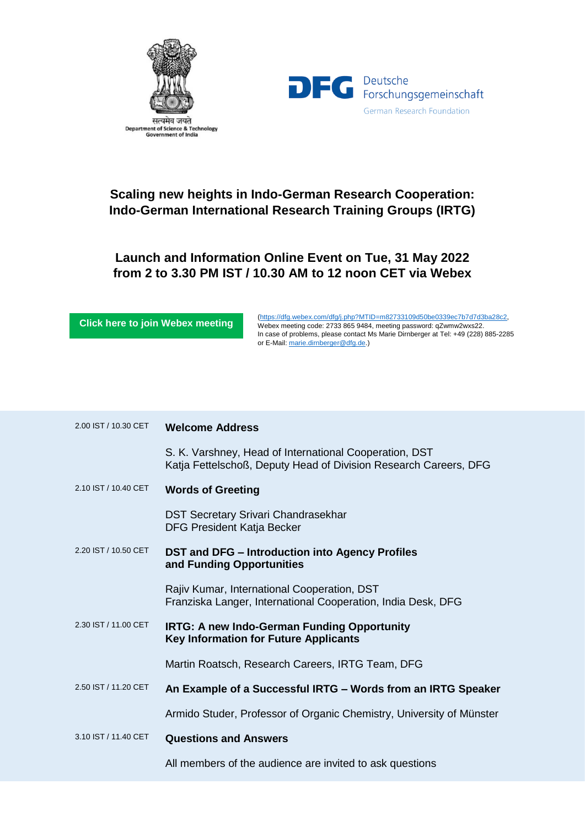



## **Scaling new heights in Indo-German Research Cooperation: Indo-German International Research Training Groups (IRTG)**

## **Launch and Information Online Event on Tue, 31 May 2022 from 2 to 3.30 PM IST / 10.30 AM to 12 noon CET via Webex**

**[Click here to join Webex meeting](https://dfg.webex.com/dfg/j.php?MTID=m82733109d50be0339ec7b7d7d3ba28c2)**

[\(https://dfg.webex.com/dfg/j.php?MTID=m82733109d50be0339ec7b7d7d3ba28c2,](https://dfg.webex.com/dfg/j.php?MTID=m82733109d50be0339ec7b7d7d3ba28c2) Webex meeting code: 2733 865 9484, meeting password: qZwmw2wxs22. In case of problems, please contact Ms Marie Dirnberger at Tel: +49 (228) 885-2285 or E-Mail[: marie.dirnberger@dfg.de.](mailto:marie.dirnberger@dfg.de))

| 2.00 IST / 10.30 CET | <b>Welcome Address</b>                                                                                                     |
|----------------------|----------------------------------------------------------------------------------------------------------------------------|
|                      | S. K. Varshney, Head of International Cooperation, DST<br>Katja Fettelschoß, Deputy Head of Division Research Careers, DFG |
| 2.10 IST / 10.40 CET | <b>Words of Greeting</b>                                                                                                   |
|                      | <b>DST Secretary Srivari Chandrasekhar</b><br><b>DFG President Katja Becker</b>                                            |
| 2.20 IST / 10.50 CET | DST and DFG - Introduction into Agency Profiles<br>and Funding Opportunities                                               |
|                      | Rajiv Kumar, International Cooperation, DST<br>Franziska Langer, International Cooperation, India Desk, DFG                |
| 2.30 IST / 11.00 CET | <b>IRTG: A new Indo-German Funding Opportunity</b><br><b>Key Information for Future Applicants</b>                         |
|                      | Martin Roatsch, Research Careers, IRTG Team, DFG                                                                           |
| 2.50 IST / 11.20 CET | An Example of a Successful IRTG - Words from an IRTG Speaker                                                               |
|                      | Armido Studer, Professor of Organic Chemistry, University of Münster                                                       |
| 3.10 IST / 11.40 CET | <b>Questions and Answers</b>                                                                                               |
|                      | All members of the audience are invited to ask questions                                                                   |